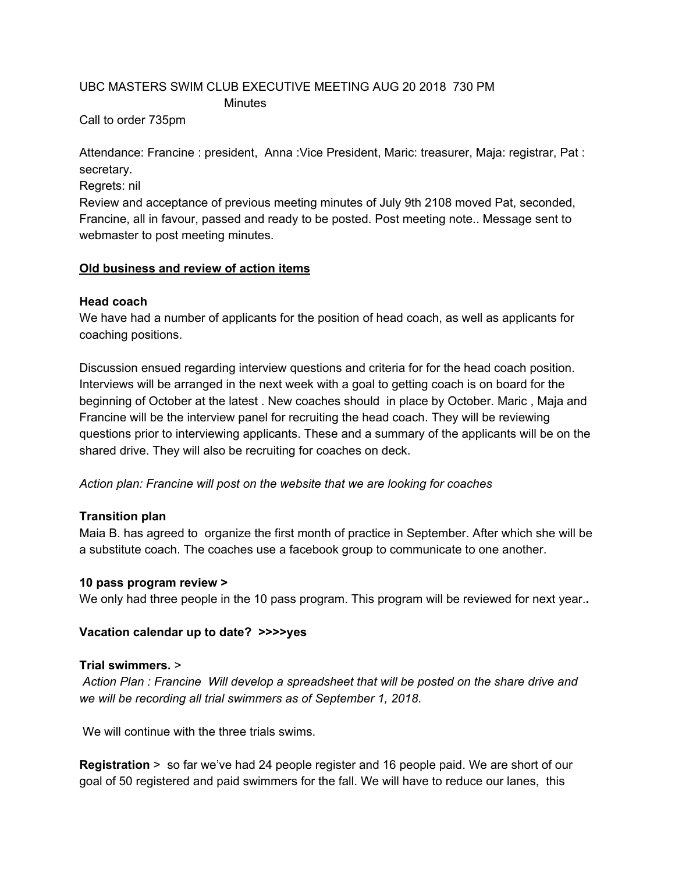# UBC MASTERS SWIM CLUB EXECUTIVE MEETING AUG 20 2018 730 PM **Minutes**

Call to order 735pm

Attendance: Francine : president, Anna :Vice President, Maric: treasurer, Maja: registrar, Pat : secretary.

Regrets: nil

Review and acceptance of previous meeting minutes of July 9th 2108 moved Pat, seconded, Francine, all in favour, passed and ready to be posted. Post meeting note.. Message sent to webmaster to post meeting minutes.

### **Old business and review of action items**

### **Head coach**

We have had a number of applicants for the position of head coach, as well as applicants for coaching positions.

Discussion ensued regarding interview questions and criteria for for the head coach position. Interviews will be arranged in the next week with a goal to getting coach is on board for the beginning of October at the latest . New coaches should in place by October. Maric , Maja and Francine will be the interview panel for recruiting the head coach. They will be reviewing questions prior to interviewing applicants. These and a summary of the applicants will be on the shared drive. They will also be recruiting for coaches on deck.

*Action plan: Francine will post on the website that we are looking for coaches*

# **Transition plan**

Maia B. has agreed to organize the first month of practice in September. After which she will be a substitute coach. The coaches use a facebook group to communicate to one another.

### **10 pass program review >**

We only had three people in the 10 pass program. This program will be reviewed for next year.**.**

### **Vacation calendar up to date? >>>>yes**

### **Trial swimmers.** >

*Action Plan : Francine Will develop a spreadsheet that will be posted on the share drive and we will be recording all trial swimmers as of September 1, 2018*.

We will continue with the three trials swims.

**Registration** > so far we've had 24 people register and 16 people paid. We are short of our goal of 50 registered and paid swimmers for the fall. We will have to reduce our lanes, this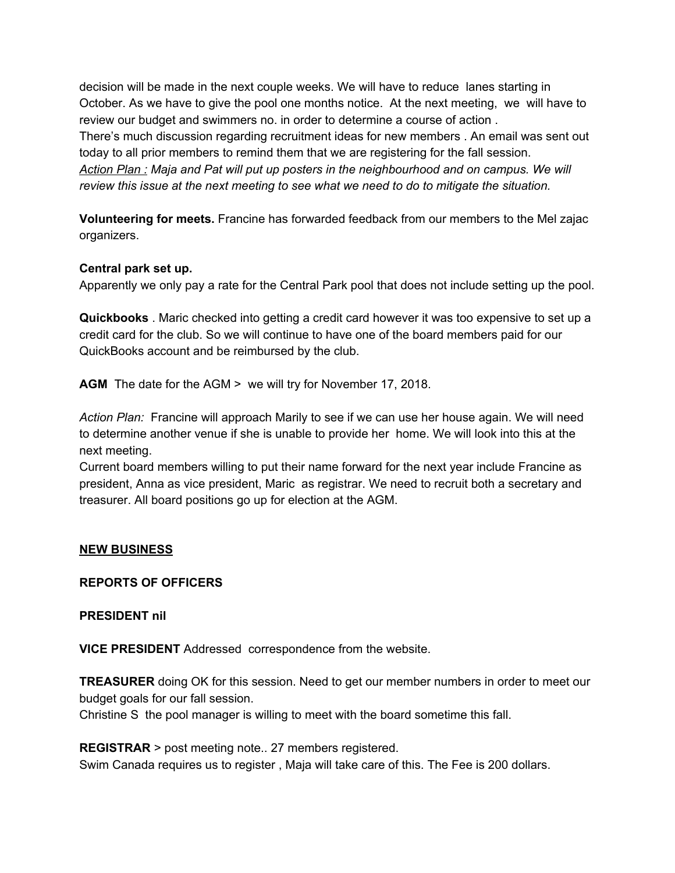decision will be made in the next couple weeks. We will have to reduce lanes starting in October. As we have to give the pool one months notice. At the next meeting, we will have to review our budget and swimmers no. in order to determine a course of action . There's much discussion regarding recruitment ideas for new members . An email was sent out today to all prior members to remind them that we are registering for the fall session. *Action Plan : Maja and Pat will put up posters in the neighbourhood and on campus. We will review this issue at the next meeting to see what we need to do to mitigate the situation.*

**Volunteering for meets.** Francine has forwarded feedback from our members to the Mel zajac organizers.

#### **Central park set up.**

Apparently we only pay a rate for the Central Park pool that does not include setting up the pool.

**Quickbooks** . Maric checked into getting a credit card however it was too expensive to set up a credit card for the club. So we will continue to have one of the board members paid for our QuickBooks account and be reimbursed by the club.

**AGM** The date for the AGM > we will try for November 17, 2018.

*Action Plan:* Francine will approach Marily to see if we can use her house again. We will need to determine another venue if she is unable to provide her home. We will look into this at the next meeting.

Current board members willing to put their name forward for the next year include Francine as president, Anna as vice president, Maric as registrar. We need to recruit both a secretary and treasurer. All board positions go up for election at the AGM.

#### **NEW BUSINESS**

#### **REPORTS OF OFFICERS**

#### **PRESIDENT nil**

**VICE PRESIDENT** Addressed correspondence from the website.

**TREASURER** doing OK for this session. Need to get our member numbers in order to meet our budget goals for our fall session.

Christine S the pool manager is willing to meet with the board sometime this fall.

**REGISTRAR** > post meeting note.. 27 members registered.

Swim Canada requires us to register , Maja will take care of this. The Fee is 200 dollars.